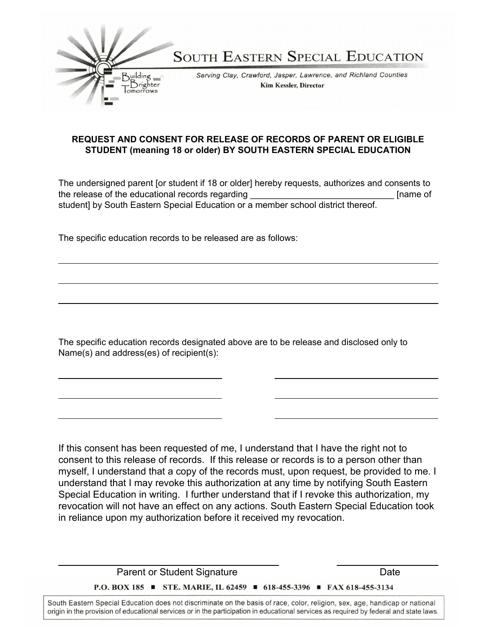

## **REQUEST AND CONSENT FOR RELEASE OF RECORDS OF PARENT OR ELIGIBLE STUDENT (meaning 18 or older) BY SOUTH EASTERN SPECIAL EDUCATION**

The undersigned parent [or student if 18 or older] hereby requests, authorizes and consents to the release of the educational records regarding the state of the state of the state of the educational records regarding student] by South Eastern Special Education or a member school district thereof.

The specific education records to be released are as follows:

The specific education records designated above are to be release and disclosed only to Name(s) and address(es) of recipient(s):

If this consent has been requested of me, I understand that I have the right not to consent to this release of records. If this release or records is to a person other than myself, I understand that a copy of the records must, upon request, be provided to me. I understand that I may revoke this authorization at any time by notifying South Eastern Special Education in writing. I further understand that if I revoke this authorization, my revocation will not have an effect on any actions. South Eastern Special Education took in reliance upon my authorization before it received my revocation.

Parent or Student Signature Date P.O. BOX 185 ■ STE. MARIE, IL 62459 ■ 618-455-3396 ■ FAX 618-455-3134

South Eastern Special Education does not discriminate on the basis of race, color, religion, sex, age, handicap or national origin in the provision of educational services or in the participation in educational services as required by federal and state laws.